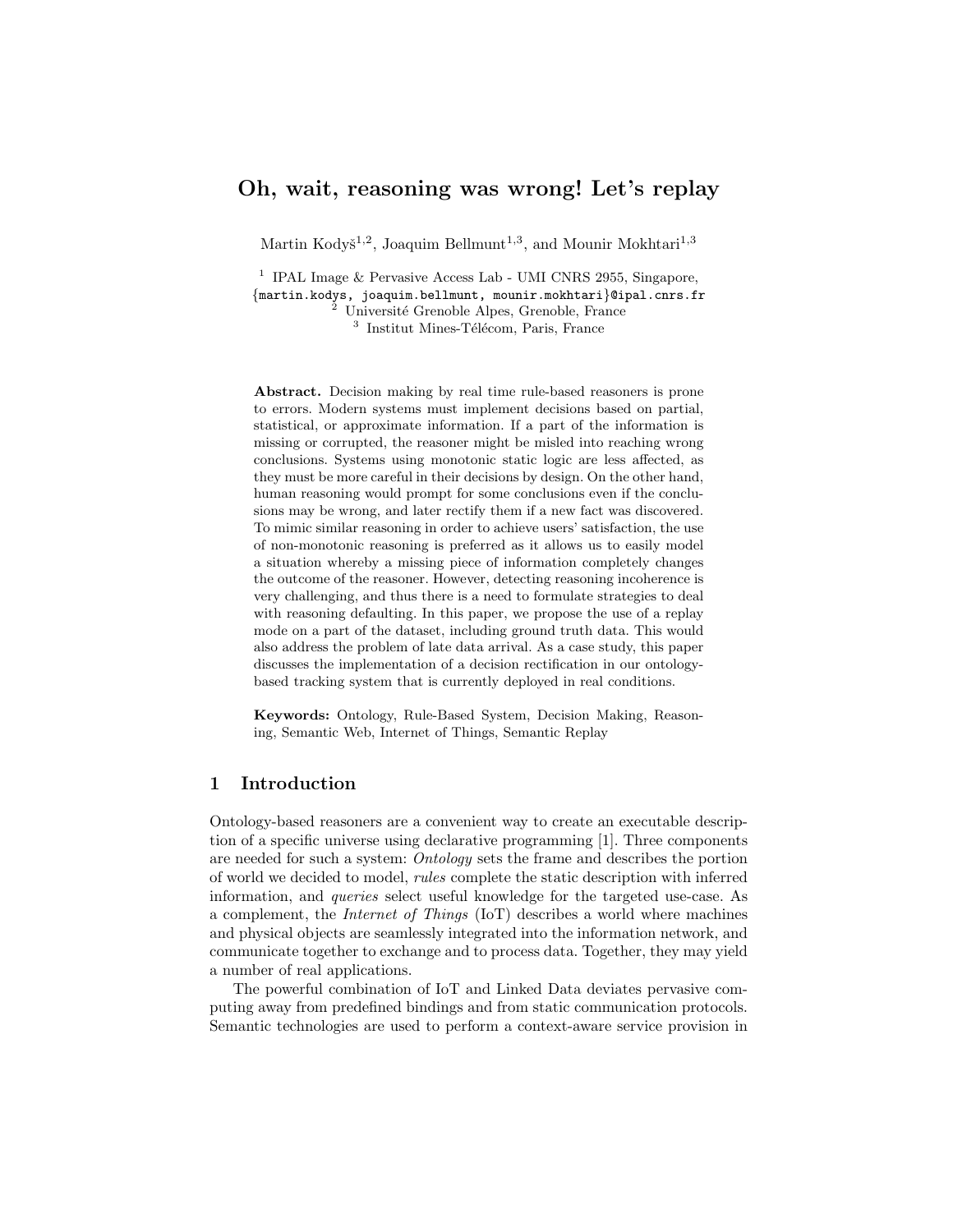# Oh, wait, reasoning was wrong! Let's replay

Martin Kodyš<sup>1,2</sup>, Joaquim Bellmunt<sup>1,3</sup>, and Mounir Mokhtari<sup>1,3</sup>

<sup>1</sup> IPAL Image & Pervasive Access Lab - UMI CNRS 2955, Singapore, {martin.kodys, joaquim.bellmunt, mounir.mokhtari}@ipal.cnrs.fr  $2$  Université Grenoble Alpes, Grenoble, France

<sup>3</sup> Institut Mines-Télécom, Paris, France

Abstract. Decision making by real time rule-based reasoners is prone to errors. Modern systems must implement decisions based on partial, statistical, or approximate information. If a part of the information is missing or corrupted, the reasoner might be misled into reaching wrong conclusions. Systems using monotonic static logic are less affected, as they must be more careful in their decisions by design. On the other hand, human reasoning would prompt for some conclusions even if the conclusions may be wrong, and later rectify them if a new fact was discovered. To mimic similar reasoning in order to achieve users' satisfaction, the use of non-monotonic reasoning is preferred as it allows us to easily model a situation whereby a missing piece of information completely changes the outcome of the reasoner. However, detecting reasoning incoherence is very challenging, and thus there is a need to formulate strategies to deal with reasoning defaulting. In this paper, we propose the use of a replay mode on a part of the dataset, including ground truth data. This would also address the problem of late data arrival. As a case study, this paper discusses the implementation of a decision rectification in our ontologybased tracking system that is currently deployed in real conditions.

Keywords: Ontology, Rule-Based System, Decision Making, Reasoning, Semantic Web, Internet of Things, Semantic Replay

## 1 Introduction

Ontology-based reasoners are a convenient way to create an executable description of a specific universe using declarative programming [\[1\]](#page-11-0). Three components are needed for such a system: Ontology sets the frame and describes the portion of world we decided to model, rules complete the static description with inferred information, and queries select useful knowledge for the targeted use-case. As a complement, the Internet of Things (IoT) describes a world where machines and physical objects are seamlessly integrated into the information network, and communicate together to exchange and to process data. Together, they may yield a number of real applications.

The powerful combination of IoT and Linked Data deviates pervasive computing away from predefined bindings and from static communication protocols. Semantic technologies are used to perform a context-aware service provision in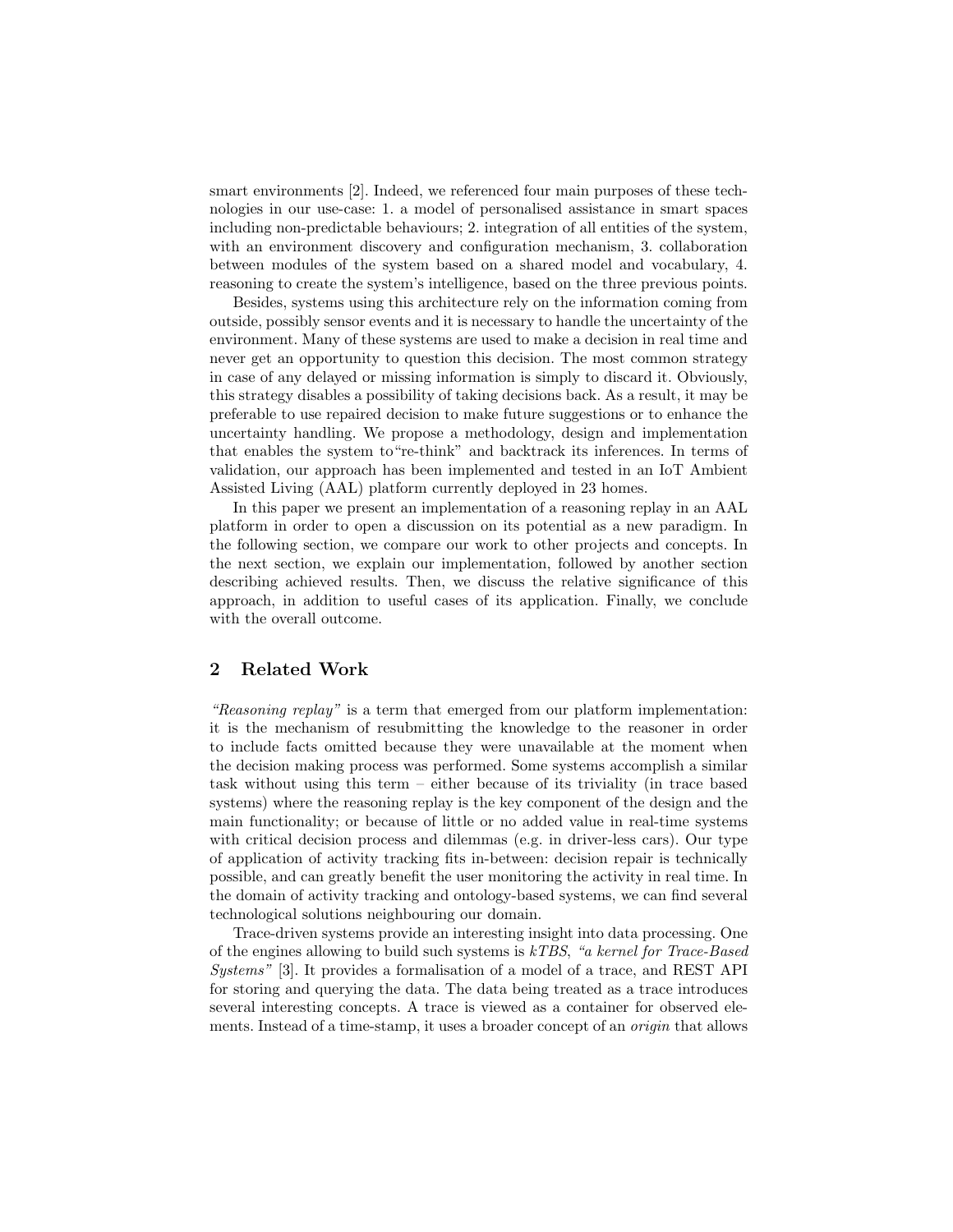smart environments [\[2\]](#page-11-1). Indeed, we referenced four main purposes of these technologies in our use-case: 1. a model of personalised assistance in smart spaces including non-predictable behaviours; 2. integration of all entities of the system, with an environment discovery and configuration mechanism, 3. collaboration between modules of the system based on a shared model and vocabulary, 4. reasoning to create the system's intelligence, based on the three previous points.

Besides, systems using this architecture rely on the information coming from outside, possibly sensor events and it is necessary to handle the uncertainty of the environment. Many of these systems are used to make a decision in real time and never get an opportunity to question this decision. The most common strategy in case of any delayed or missing information is simply to discard it. Obviously, this strategy disables a possibility of taking decisions back. As a result, it may be preferable to use repaired decision to make future suggestions or to enhance the uncertainty handling. We propose a methodology, design and implementation that enables the system to"re-think" and backtrack its inferences. In terms of validation, our approach has been implemented and tested in an IoT Ambient Assisted Living (AAL) platform currently deployed in 23 homes.

In this paper we present an implementation of a reasoning replay in an AAL platform in order to open a discussion on its potential as a new paradigm. In the following section, we compare our work to other projects and concepts. In the next section, we explain our implementation, followed by another section describing achieved results. Then, we discuss the relative significance of this approach, in addition to useful cases of its application. Finally, we conclude with the overall outcome.

### 2 Related Work

"Reasoning replay" is a term that emerged from our platform implementation: it is the mechanism of resubmitting the knowledge to the reasoner in order to include facts omitted because they were unavailable at the moment when the decision making process was performed. Some systems accomplish a similar task without using this term – either because of its triviality (in trace based systems) where the reasoning replay is the key component of the design and the main functionality; or because of little or no added value in real-time systems with critical decision process and dilemmas (e.g. in driver-less cars). Our type of application of activity tracking fits in-between: decision repair is technically possible, and can greatly benefit the user monitoring the activity in real time. In the domain of activity tracking and ontology-based systems, we can find several technological solutions neighbouring our domain.

Trace-driven systems provide an interesting insight into data processing. One of the engines allowing to build such systems is kTBS, "a kernel for Trace-Based Systems" [\[3\]](#page-11-2). It provides a formalisation of a model of a trace, and REST API for storing and querying the data. The data being treated as a trace introduces several interesting concepts. A trace is viewed as a container for observed elements. Instead of a time-stamp, it uses a broader concept of an *origin* that allows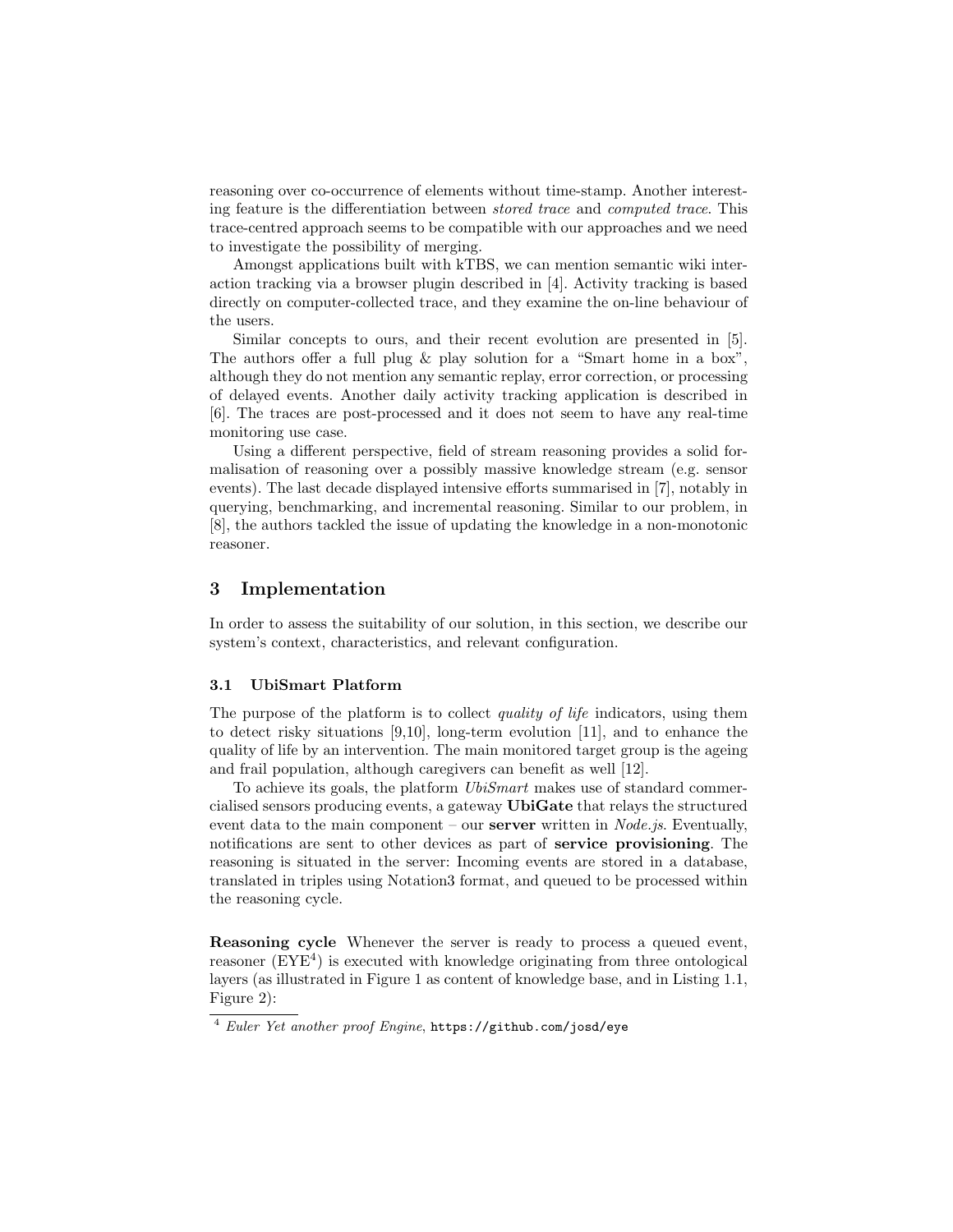reasoning over co-occurrence of elements without time-stamp. Another interesting feature is the differentiation between stored trace and computed trace. This trace-centred approach seems to be compatible with our approaches and we need to investigate the possibility of merging.

Amongst applications built with kTBS, we can mention semantic wiki interaction tracking via a browser plugin described in [\[4\]](#page-11-3). Activity tracking is based directly on computer-collected trace, and they examine the on-line behaviour of the users.

Similar concepts to ours, and their recent evolution are presented in [\[5\]](#page-11-4). The authors offer a full plug & play solution for a "Smart home in a box", although they do not mention any semantic replay, error correction, or processing of delayed events. Another daily activity tracking application is described in [\[6\]](#page-11-5). The traces are post-processed and it does not seem to have any real-time monitoring use case.

Using a different perspective, field of stream reasoning provides a solid formalisation of reasoning over a possibly massive knowledge stream (e.g. sensor events). The last decade displayed intensive efforts summarised in [\[7\]](#page-11-6), notably in querying, benchmarking, and incremental reasoning. Similar to our problem, in [\[8\]](#page-11-7), the authors tackled the issue of updating the knowledge in a non-monotonic reasoner.

# 3 Implementation

In order to assess the suitability of our solution, in this section, we describe our system's context, characteristics, and relevant configuration.

#### 3.1 UbiSmart Platform

The purpose of the platform is to collect *quality of life* indicators, using them to detect risky situations [\[9](#page-11-8)[,10\]](#page-11-9), long-term evolution [\[11\]](#page-11-10), and to enhance the quality of life by an intervention. The main monitored target group is the ageing and frail population, although caregivers can benefit as well [\[12\]](#page-11-11).

To achieve its goals, the platform UbiSmart makes use of standard commercialised sensors producing events, a gateway UbiGate that relays the structured event data to the main component – our **server** written in *Node.js.* Eventually, notifications are sent to other devices as part of service provisioning. The reasoning is situated in the server: Incoming events are stored in a database, translated in triples using Notation3 format, and queued to be processed within the reasoning cycle.

Reasoning cycle Whenever the server is ready to process a queued event, reasoner  $(EYE<sup>4</sup>)$  $(EYE<sup>4</sup>)$  $(EYE<sup>4</sup>)$  is executed with knowledge originating from three ontological layers (as illustrated in Figure [1](#page-3-0) as content of knowledge base, and in Listing [1.1,](#page-3-1) Figure [2\)](#page-4-0):

<span id="page-2-0"></span><sup>4</sup> Euler Yet another proof Engine, <https://github.com/josd/eye>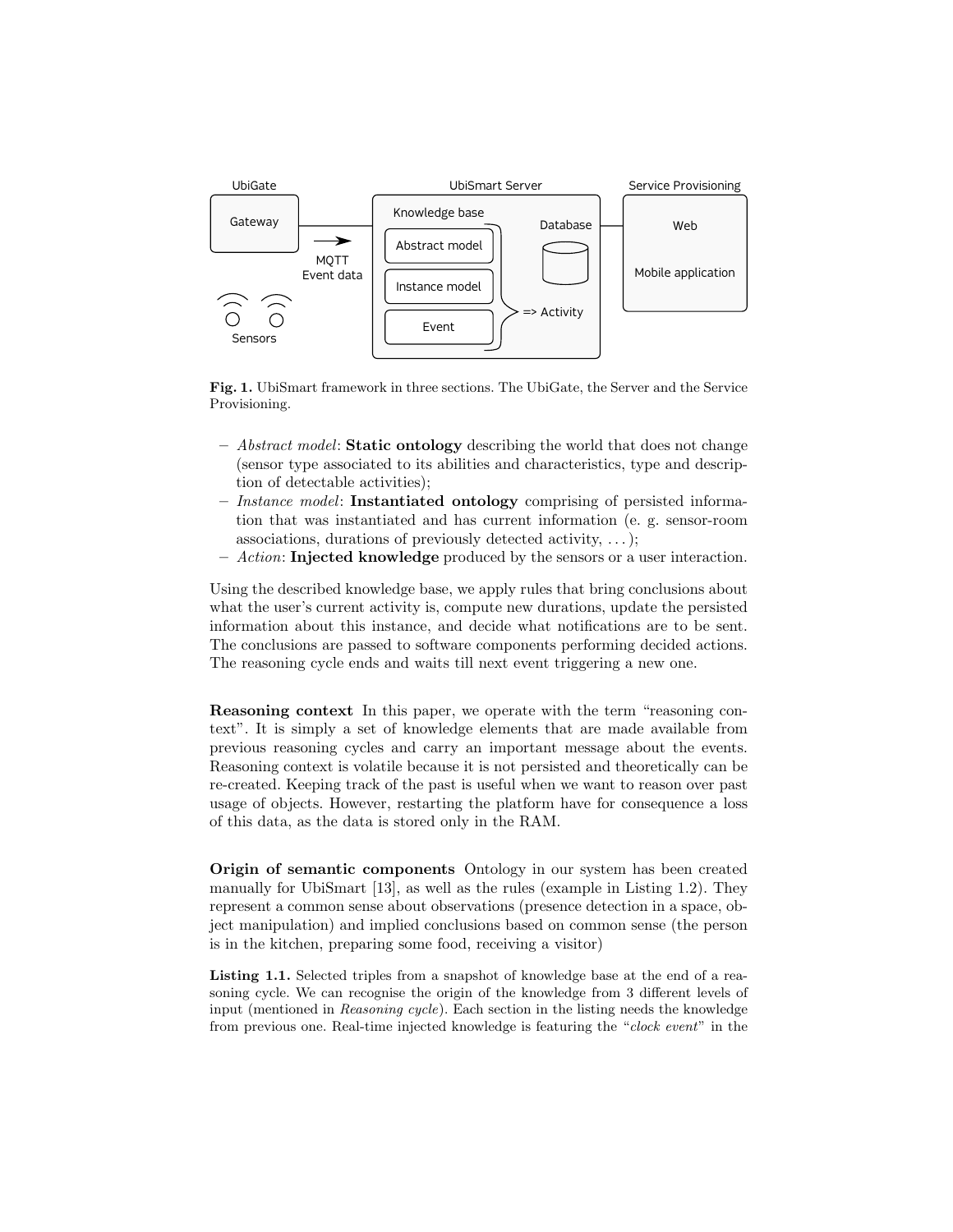

<span id="page-3-0"></span>Fig. 1. UbiSmart framework in three sections. The UbiGate, the Server and the Service Provisioning.

- $-$  Abstract model: Static ontology describing the world that does not change (sensor type associated to its abilities and characteristics, type and description of detectable activities);
- Instance model: Instantiated ontology comprising of persisted information that was instantiated and has current information (e. g. sensor-room associations, durations of previously detected activity, . . . );
- Action: Injected knowledge produced by the sensors or a user interaction.

Using the described knowledge base, we apply rules that bring conclusions about what the user's current activity is, compute new durations, update the persisted information about this instance, and decide what notifications are to be sent. The conclusions are passed to software components performing decided actions. The reasoning cycle ends and waits till next event triggering a new one.

Reasoning context In this paper, we operate with the term "reasoning context". It is simply a set of knowledge elements that are made available from previous reasoning cycles and carry an important message about the events. Reasoning context is volatile because it is not persisted and theoretically can be re-created. Keeping track of the past is useful when we want to reason over past usage of objects. However, restarting the platform have for consequence a loss of this data, as the data is stored only in the RAM.

Origin of semantic components Ontology in our system has been created manually for UbiSmart [\[13\]](#page-11-12), as well as the rules (example in Listing [1.2\)](#page-4-1). They represent a common sense about observations (presence detection in a space, object manipulation) and implied conclusions based on common sense (the person is in the kitchen, preparing some food, receiving a visitor)

<span id="page-3-1"></span>Listing 1.1. Selected triples from a snapshot of knowledge base at the end of a reasoning cycle. We can recognise the origin of the knowledge from 3 different levels of input (mentioned in Reasoning cycle). Each section in the listing needs the knowledge from previous one. Real-time injected knowledge is featuring the "clock event" in the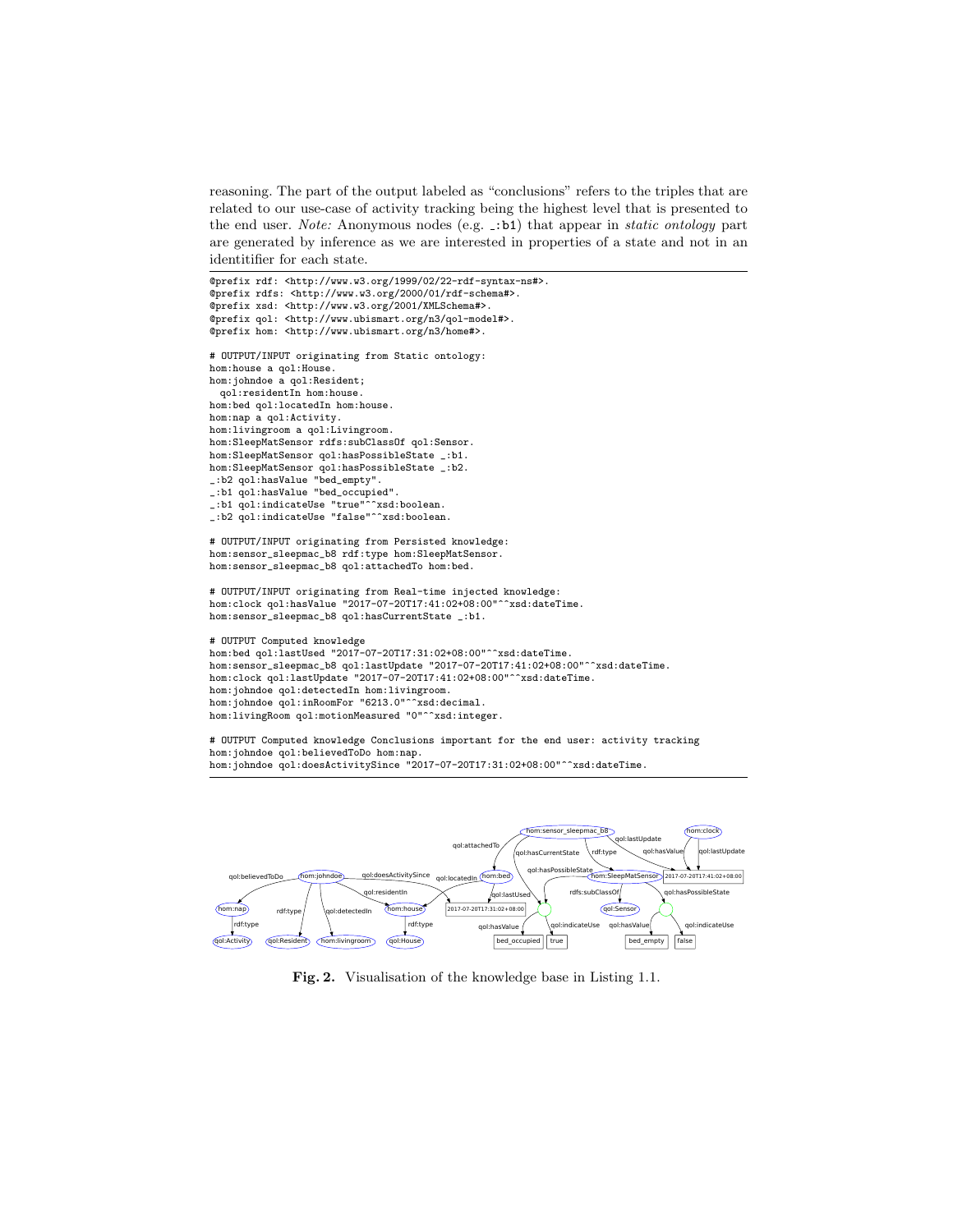reasoning. The part of the output labeled as "conclusions" refers to the triples that are related to our use-case of activity tracking being the highest level that is presented to the end user. Note: Anonymous nodes (e.g.  $\pm$ :b1) that appear in *static ontology* part are generated by inference as we are interested in properties of a state and not in an identitifier for each state.

```
@prefix rdf: <http://www.w3.org/1999/02/22-rdf-syntax-ns#>.
@prefix rdfs: <http://www.w3.org/2000/01/rdf-schema#>.
@prefix xsd: <http://www.w3.org/2001/XMLSchema#>.
@prefix qol: <http://www.ubismart.org/n3/qol-model#>.
@prefix hom: <http://www.ubismart.org/n3/home#>.
# OUTPUT/INPUT originating from Static ontology:
hom:house a qol:House.
hom:johndoe a qol:Resident;
 qol:residentIn hom:house.
hom:bed qol:locatedIn hom:house.
hom:nap a qol:Activity.
hom:livingroom a qol:Livingroom.
hom:SleepMatSensor rdfs:subClassOf qol:Sensor.
hom:SleepMatSensor qol:hasPossibleState _:b1.
hom:SleepMatSensor qol:hasPossibleState _:b2.
_:b2 qol:hasValue "bed_empty".
_:b1 qol:hasValue "bed_occupied".
_:b1 qol:indicateUse "true"^^xsd:boolean.
_:b2 qol:indicateUse "false"^^xsd:boolean.
# OUTPUT/INPUT originating from Persisted knowledge:
hom:sensor_sleepmac_b8 rdf:type hom:SleepMatSensor.
hom:sensor_sleepmac_b8 qol:attachedTo hom:bed.
# OUTPUT/INPUT originating from Real-time injected knowledge:
hom:clock qol:hasValue "2017-07-20T17:41:02+08:00"^^xsd:dateTime.
hom:sensor_sleepmac_b8 qol:hasCurrentState _:b1.
# OUTPUT Computed knowledge
hom:bed qol:lastUsed "2017-07-20T17:31:02+08:00"^^xsd:dateTime.
hom:sensor_sleepmac_b8 qol:lastUpdate "2017-07-20T17:41:02+08:00"^^xsd:dateTime.
hom:clock qol:lastUpdate "2017-07-20T17:41:02+08:00"^^xsd:dateTime.
hom:johndoe qol:detectedIn hom:livingroom.
hom:johndoe qol:inRoomFor "6213.0"^^xsd:decimal.
hom:livingRoom qol:motionMeasured "0"^^xsd:integer.
# OUTPUT Computed knowledge Conclusions important for the end user: activity tracking
hom:johndoe qol:believedToDo hom:nap.
hom:johndoe qol:doesActivitySince "2017-07-20T17:31:02+08:00"^^xsd:dateTime.
```


<span id="page-4-1"></span><span id="page-4-0"></span>Fig. 2. Visualisation of the knowledge base in Listing [1.1.](#page-3-1)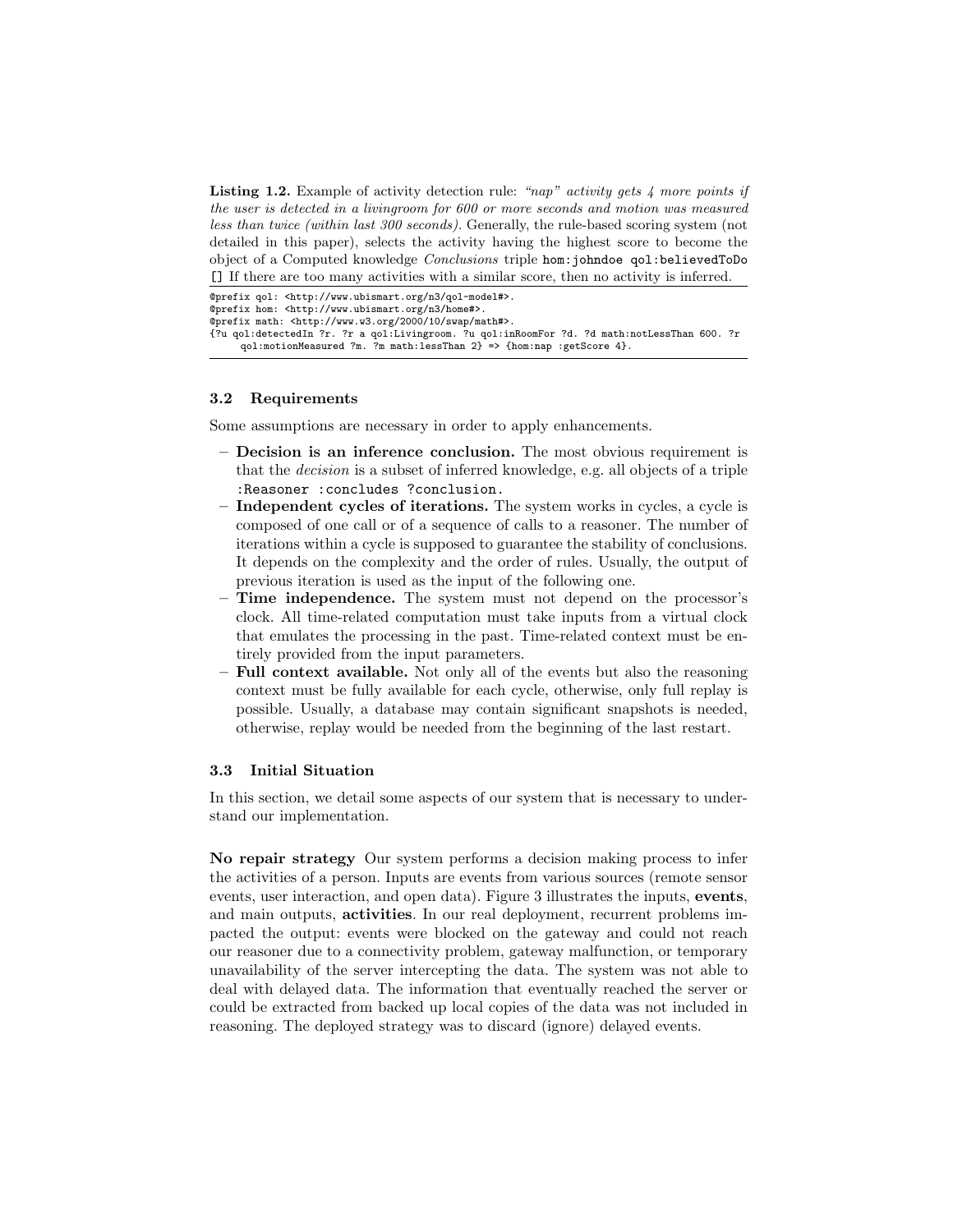**Listing 1.2.** Example of activity detection rule: "nap" activity gets  $\lambda$  more points if the user is detected in a livingroom for 600 or more seconds and motion was measured less than twice (within last 300 seconds). Generally, the rule-based scoring system (not detailed in this paper), selects the activity having the highest score to become the object of a Computed knowledge Conclusions triple hom:johndoe qol:believedToDo [] If there are too many activities with a similar score, then no activity is inferred.

```
@prefix qol: <http://www.ubismart.org/n3/qol-model#>.
@prefix hom: <http://www.ubismart.org/n3/home#>.
@prefix math: <http://www.w3.org/2000/10/swap/math#>.
{?u qol:detectedIn ?r. ?r a qol:Livingroom. ?u qol:inRoomFor ?d. ?d math:notLessThan 600. ?r
     qol:motionMeasured ?m. ?m math:lessThan 2} => {hom:nap :getScore 4}.
```
### <span id="page-5-0"></span>3.2 Requirements

Some assumptions are necessary in order to apply enhancements.

- Decision is an inference conclusion. The most obvious requirement is that the decision is a subset of inferred knowledge, e.g. all objects of a triple :Reasoner :concludes ?conclusion.
- Independent cycles of iterations. The system works in cycles, a cycle is composed of one call or of a sequence of calls to a reasoner. The number of iterations within a cycle is supposed to guarantee the stability of conclusions. It depends on the complexity and the order of rules. Usually, the output of previous iteration is used as the input of the following one.
- Time independence. The system must not depend on the processor's clock. All time-related computation must take inputs from a virtual clock that emulates the processing in the past. Time-related context must be entirely provided from the input parameters.
- Full context available. Not only all of the events but also the reasoning context must be fully available for each cycle, otherwise, only full replay is possible. Usually, a database may contain significant snapshots is needed, otherwise, replay would be needed from the beginning of the last restart.

#### 3.3 Initial Situation

In this section, we detail some aspects of our system that is necessary to understand our implementation.

No repair strategy Our system performs a decision making process to infer the activities of a person. Inputs are events from various sources (remote sensor events, user interaction, and open data). Figure [3](#page-6-0) illustrates the inputs, events, and main outputs, activities. In our real deployment, recurrent problems impacted the output: events were blocked on the gateway and could not reach our reasoner due to a connectivity problem, gateway malfunction, or temporary unavailability of the server intercepting the data. The system was not able to deal with delayed data. The information that eventually reached the server or could be extracted from backed up local copies of the data was not included in reasoning. The deployed strategy was to discard (ignore) delayed events.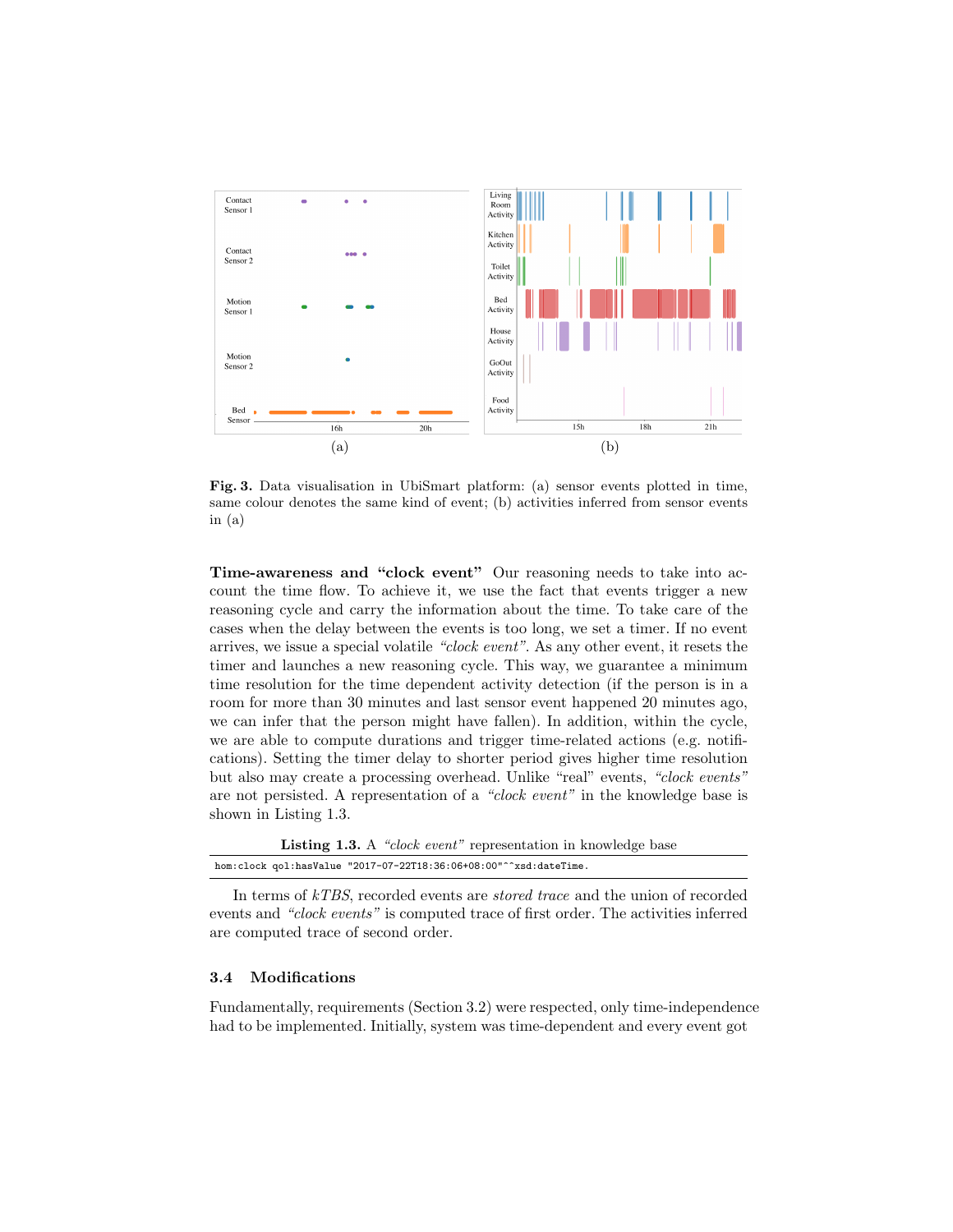<span id="page-6-1"></span>

<span id="page-6-2"></span><span id="page-6-0"></span>Fig. 3. Data visualisation in UbiSmart platform: [\(a\)](#page-6-1) sensor events plotted in time, same colour denotes the same kind of event; [\(b\)](#page-6-2) activities inferred from sensor events in [\(a\)](#page-6-1)

Time-awareness and "clock event" Our reasoning needs to take into account the time flow. To achieve it, we use the fact that events trigger a new reasoning cycle and carry the information about the time. To take care of the cases when the delay between the events is too long, we set a timer. If no event arrives, we issue a special volatile "clock event". As any other event, it resets the timer and launches a new reasoning cycle. This way, we guarantee a minimum time resolution for the time dependent activity detection (if the person is in a room for more than 30 minutes and last sensor event happened 20 minutes ago, we can infer that the person might have fallen). In addition, within the cycle, we are able to compute durations and trigger time-related actions (e.g. notifications). Setting the timer delay to shorter period gives higher time resolution but also may create a processing overhead. Unlike "real" events, "clock events" are not persisted. A representation of a "clock event" in the knowledge base is shown in Listing [1.3.](#page-6-3)

<span id="page-6-3"></span>

|                                                                   | <b>Listing 1.3.</b> A "clock event" representation in knowledge base |
|-------------------------------------------------------------------|----------------------------------------------------------------------|
| hom:clock qol:hasValue "2017-07-22T18:36:06+08:00"^^xsd:dateTime. |                                                                      |

In terms of kTBS, recorded events are stored trace and the union of recorded events and "clock events" is computed trace of first order. The activities inferred are computed trace of second order.

#### 3.4 Modifications

Fundamentally, requirements (Section [3.2\)](#page-5-0) were respected, only time-independence had to be implemented. Initially, system was time-dependent and every event got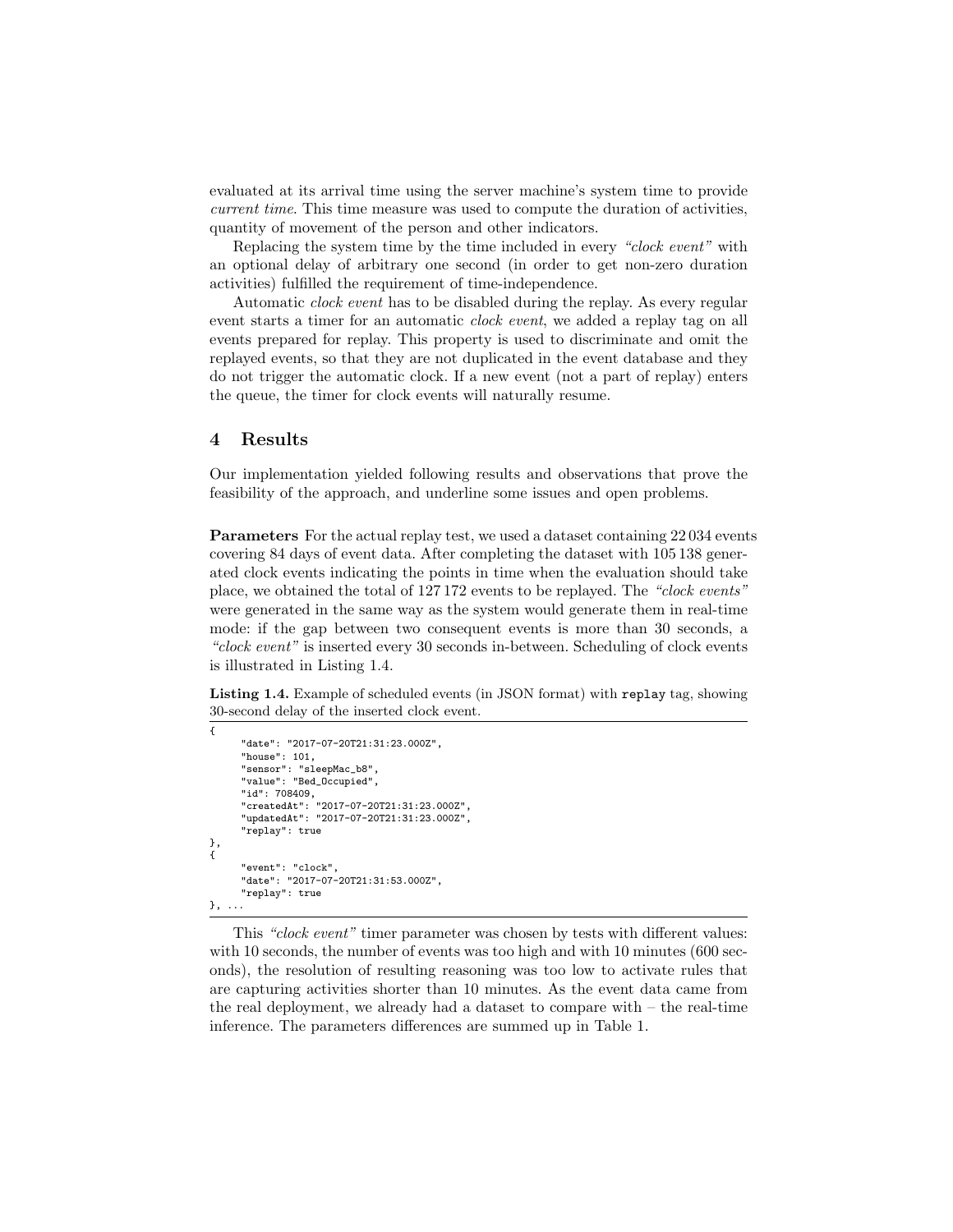evaluated at its arrival time using the server machine's system time to provide current time. This time measure was used to compute the duration of activities, quantity of movement of the person and other indicators.

Replacing the system time by the time included in every "clock event" with an optional delay of arbitrary one second (in order to get non-zero duration activities) fulfilled the requirement of time-independence.

Automatic clock event has to be disabled during the replay. As every regular event starts a timer for an automatic *clock event*, we added a replay tag on all events prepared for replay. This property is used to discriminate and omit the replayed events, so that they are not duplicated in the event database and they do not trigger the automatic clock. If a new event (not a part of replay) enters the queue, the timer for clock events will naturally resume.

# 4 Results

Our implementation yielded following results and observations that prove the feasibility of the approach, and underline some issues and open problems.

Parameters For the actual replay test, we used a dataset containing 22034 events covering 84 days of event data. After completing the dataset with 105 138 generated clock events indicating the points in time when the evaluation should take place, we obtained the total of 127 172 events to be replayed. The "clock events" were generated in the same way as the system would generate them in real-time mode: if the gap between two consequent events is more than 30 seconds, a "clock event" is inserted every 30 seconds in-between. Scheduling of clock events is illustrated in Listing [1.4.](#page-7-0)

<span id="page-7-0"></span>Listing 1.4. Example of scheduled events (in JSON format) with replay tag, showing 30-second delay of the inserted clock event.

```
{
       "date": "2017-07-20T21:31:23.000Z",
       "house": 101,
       "sensor": "sleepMac_b8",
"value": "Bed_Occupied",
       "id": 708409,
       "createdAt": "2017-07-20T21:31:23.000Z",
"updatedAt": "2017-07-20T21:31:23.000Z",
       "replay": true
},
{
       "event": "clock",
       "date": "2017-07-20T21:31:53.000Z",
       "replay": true
}, ...
```
This "clock event" timer parameter was chosen by tests with different values: with 10 seconds, the number of events was too high and with 10 minutes (600 seconds), the resolution of resulting reasoning was too low to activate rules that are capturing activities shorter than 10 minutes. As the event data came from the real deployment, we already had a dataset to compare with – the real-time inference. The parameters differences are summed up in Table [1.](#page-8-0)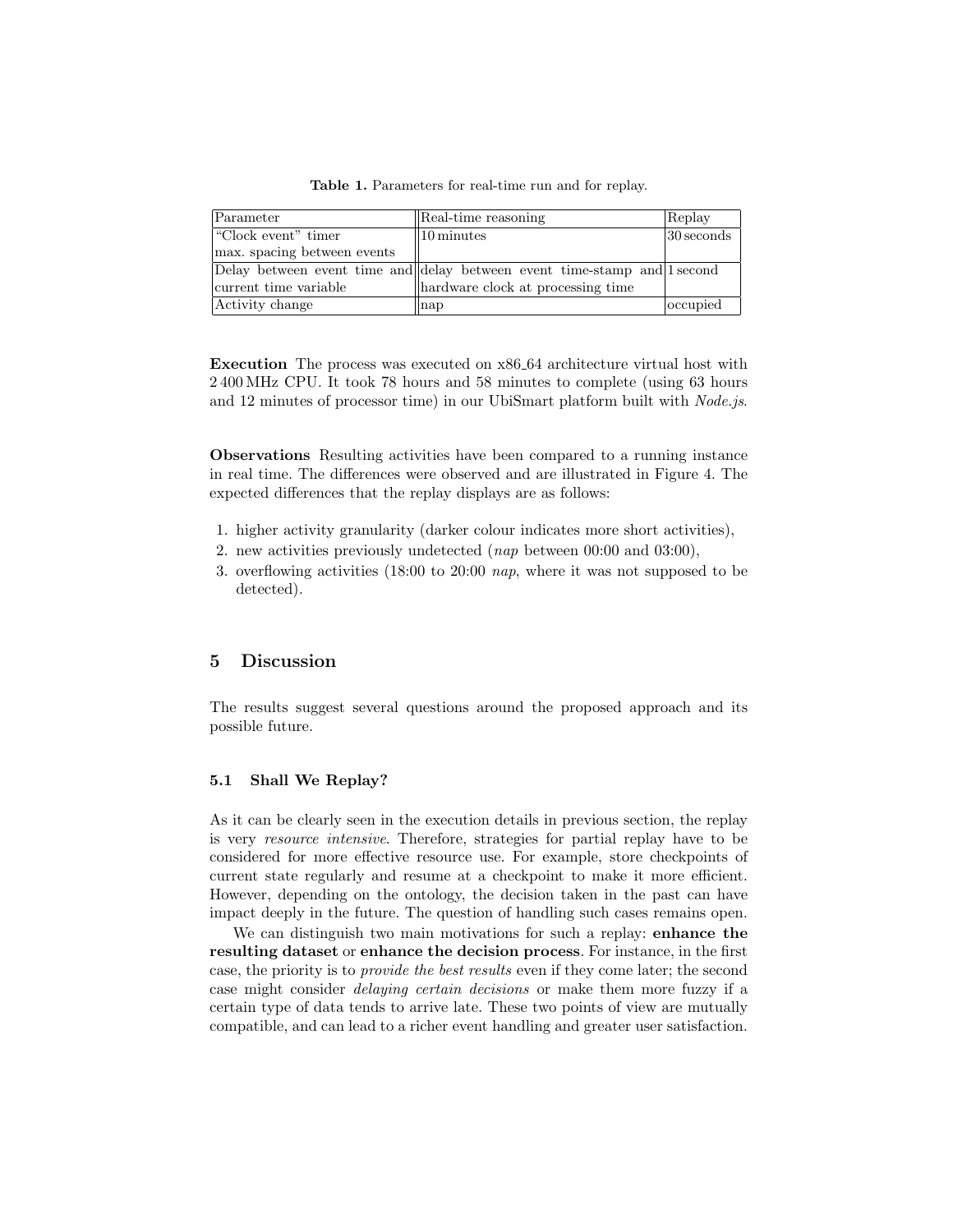| Parameter                   | Real-time reasoning                                                      | Replay        |
|-----------------------------|--------------------------------------------------------------------------|---------------|
| "Clock event" timer         | $\parallel$ 10 minutes                                                   | $ 30$ seconds |
| max. spacing between events |                                                                          |               |
|                             | Delay between event time and delay between event time-stamp and 1 second |               |
| current time variable       | hardware clock at processing time                                        |               |
| Activity change             | nap                                                                      | occupied      |

<span id="page-8-0"></span>Table 1. Parameters for real-time run and for replay.

Execution The process was executed on x86 64 architecture virtual host with 2 400 MHz CPU. It took 78 hours and 58 minutes to complete (using 63 hours and 12 minutes of processor time) in our UbiSmart platform built with Node.js.

Observations Resulting activities have been compared to a running instance in real time. The differences were observed and are illustrated in Figure [4.](#page-9-0) The expected differences that the replay displays are as follows:

- 1. higher activity granularity (darker colour indicates more short activities),
- 2. new activities previously undetected (nap between 00:00 and 03:00),
- 3. overflowing activities (18:00 to 20:00 nap, where it was not supposed to be detected).

# 5 Discussion

The results suggest several questions around the proposed approach and its possible future.

### 5.1 Shall We Replay?

As it can be clearly seen in the execution details in previous section, the replay is very resource intensive. Therefore, strategies for partial replay have to be considered for more effective resource use. For example, store checkpoints of current state regularly and resume at a checkpoint to make it more efficient. However, depending on the ontology, the decision taken in the past can have impact deeply in the future. The question of handling such cases remains open.

We can distinguish two main motivations for such a replay: enhance the resulting dataset or enhance the decision process. For instance, in the first case, the priority is to provide the best results even if they come later; the second case might consider delaying certain decisions or make them more fuzzy if a certain type of data tends to arrive late. These two points of view are mutually compatible, and can lead to a richer event handling and greater user satisfaction.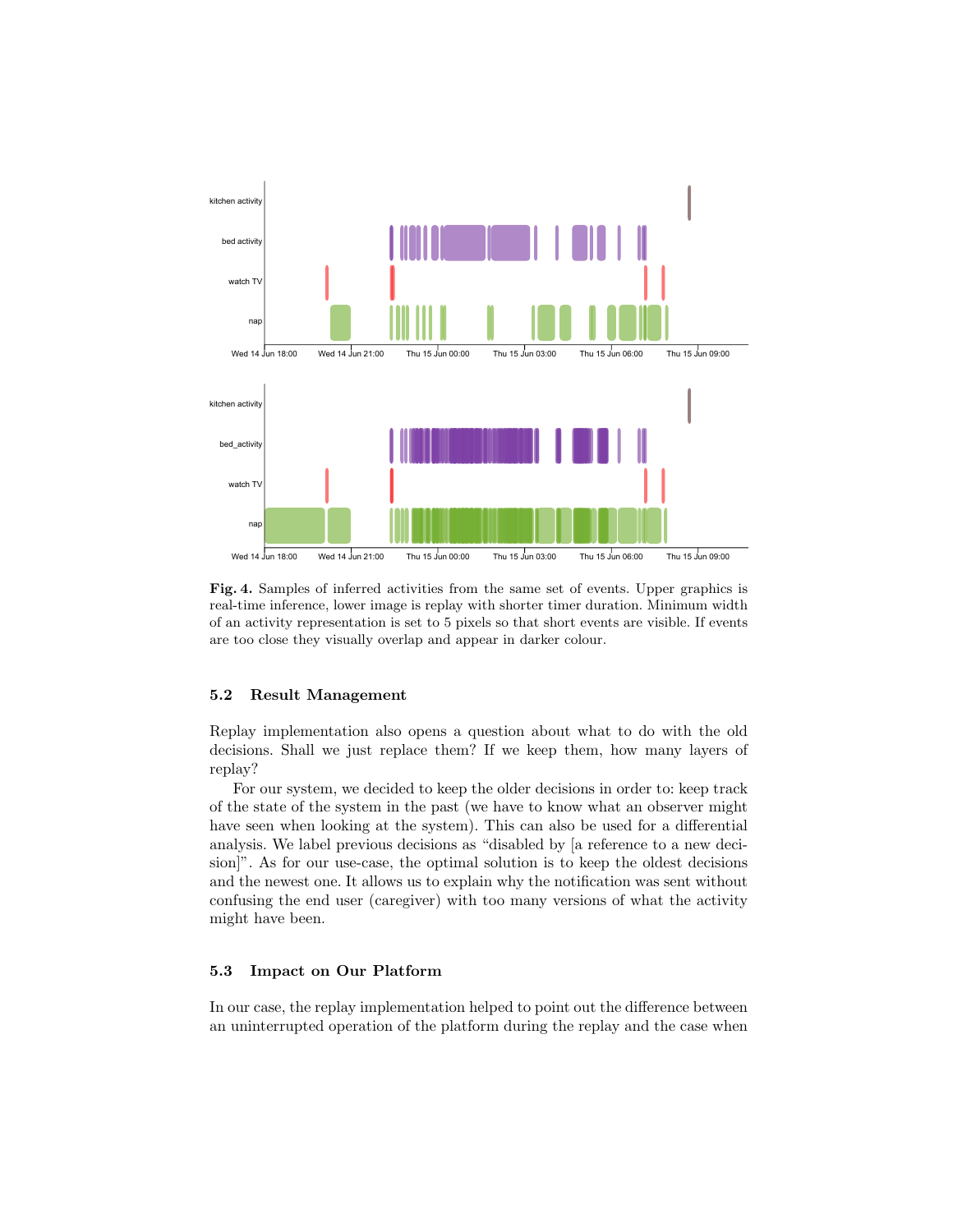

<span id="page-9-0"></span>Fig. 4. Samples of inferred activities from the same set of events. Upper graphics is real-time inference, lower image is replay with shorter timer duration. Minimum width of an activity representation is set to 5 pixels so that short events are visible. If events are too close they visually overlap and appear in darker colour.

#### 5.2 Result Management

Replay implementation also opens a question about what to do with the old decisions. Shall we just replace them? If we keep them, how many layers of replay?

For our system, we decided to keep the older decisions in order to: keep track of the state of the system in the past (we have to know what an observer might have seen when looking at the system). This can also be used for a differential analysis. We label previous decisions as "disabled by [a reference to a new decision]". As for our use-case, the optimal solution is to keep the oldest decisions and the newest one. It allows us to explain why the notification was sent without confusing the end user (caregiver) with too many versions of what the activity might have been.

### 5.3 Impact on Our Platform

In our case, the replay implementation helped to point out the difference between an uninterrupted operation of the platform during the replay and the case when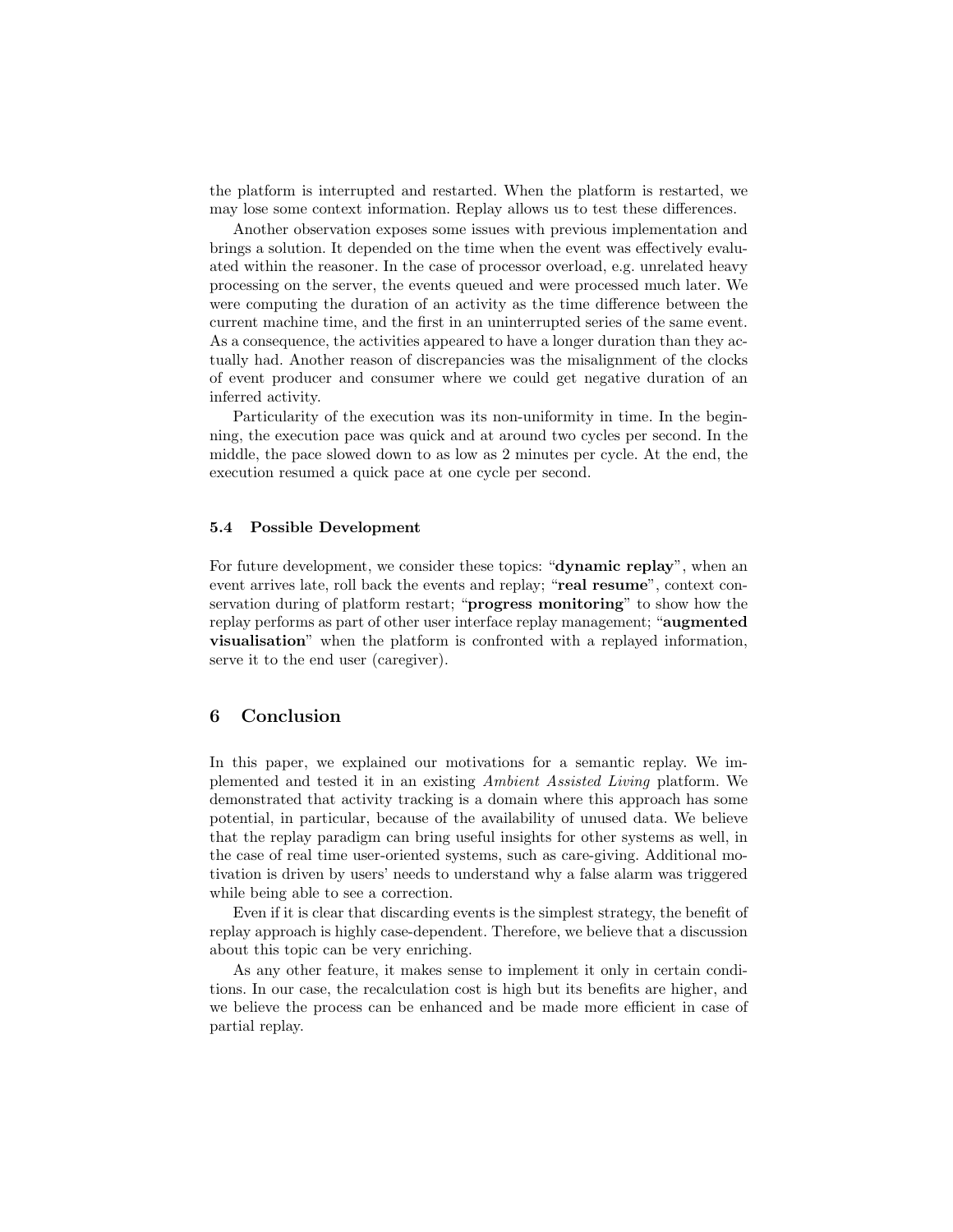the platform is interrupted and restarted. When the platform is restarted, we may lose some context information. Replay allows us to test these differences.

Another observation exposes some issues with previous implementation and brings a solution. It depended on the time when the event was effectively evaluated within the reasoner. In the case of processor overload, e.g. unrelated heavy processing on the server, the events queued and were processed much later. We were computing the duration of an activity as the time difference between the current machine time, and the first in an uninterrupted series of the same event. As a consequence, the activities appeared to have a longer duration than they actually had. Another reason of discrepancies was the misalignment of the clocks of event producer and consumer where we could get negative duration of an inferred activity.

Particularity of the execution was its non-uniformity in time. In the beginning, the execution pace was quick and at around two cycles per second. In the middle, the pace slowed down to as low as 2 minutes per cycle. At the end, the execution resumed a quick pace at one cycle per second.

### 5.4 Possible Development

For future development, we consider these topics: "dynamic replay", when an event arrives late, roll back the events and replay; "real resume", context conservation during of platform restart; "progress monitoring" to show how the replay performs as part of other user interface replay management; "augmented visualisation" when the platform is confronted with a replayed information, serve it to the end user (caregiver).

# 6 Conclusion

In this paper, we explained our motivations for a semantic replay. We implemented and tested it in an existing Ambient Assisted Living platform. We demonstrated that activity tracking is a domain where this approach has some potential, in particular, because of the availability of unused data. We believe that the replay paradigm can bring useful insights for other systems as well, in the case of real time user-oriented systems, such as care-giving. Additional motivation is driven by users' needs to understand why a false alarm was triggered while being able to see a correction.

Even if it is clear that discarding events is the simplest strategy, the benefit of replay approach is highly case-dependent. Therefore, we believe that a discussion about this topic can be very enriching.

As any other feature, it makes sense to implement it only in certain conditions. In our case, the recalculation cost is high but its benefits are higher, and we believe the process can be enhanced and be made more efficient in case of partial replay.